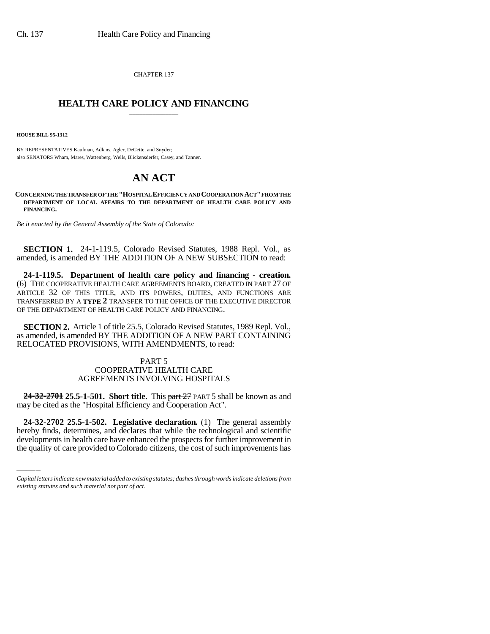CHAPTER 137

## \_\_\_\_\_\_\_\_\_\_\_\_\_\_\_ **HEALTH CARE POLICY AND FINANCING** \_\_\_\_\_\_\_\_\_\_\_\_\_\_\_

**HOUSE BILL 95-1312**

BY REPRESENTATIVES Kaufman, Adkins, Agler, DeGette, and Snyder; also SENATORS Wham, Mares, Wattenberg, Wells, Blickensderfer, Casey, and Tanner.

# **AN ACT**

**CONCERNING THE TRANSFER OF THE "HOSPITAL EFFICIENCY AND COOPERATION ACT" FROM THE DEPARTMENT OF LOCAL AFFAIRS TO THE DEPARTMENT OF HEALTH CARE POLICY AND FINANCING.**

*Be it enacted by the General Assembly of the State of Colorado:*

**SECTION 1.** 24-1-119.5, Colorado Revised Statutes, 1988 Repl. Vol., as amended, is amended BY THE ADDITION OF A NEW SUBSECTION to read:

**24-1-119.5. Department of health care policy and financing - creation.** (6) THE COOPERATIVE HEALTH CARE AGREEMENTS BOARD, CREATED IN PART 27 OF ARTICLE 32 OF THIS TITLE, AND ITS POWERS, DUTIES, AND FUNCTIONS ARE TRANSFERRED BY A **TYPE 2** TRANSFER TO THE OFFICE OF THE EXECUTIVE DIRECTOR OF THE DEPARTMENT OF HEALTH CARE POLICY AND FINANCING.

**SECTION 2.** Article 1 of title 25.5, Colorado Revised Statutes, 1989 Repl. Vol., as amended, is amended BY THE ADDITION OF A NEW PART CONTAINING RELOCATED PROVISIONS, WITH AMENDMENTS, to read:

### PART 5 COOPERATIVE HEALTH CARE AGREEMENTS INVOLVING HOSPITALS

may be cited as the "Hospital Efficiency and Cooperation Act". **24-32-2701 25.5-1-501. Short title.** This part 27 PART 5 shall be known as and

**24-32-2702 25.5-1-502. Legislative declaration.** (1) The general assembly hereby finds, determines, and declares that while the technological and scientific developments in health care have enhanced the prospects for further improvement in the quality of care provided to Colorado citizens, the cost of such improvements has

*Capital letters indicate new material added to existing statutes; dashes through words indicate deletions from existing statutes and such material not part of act.*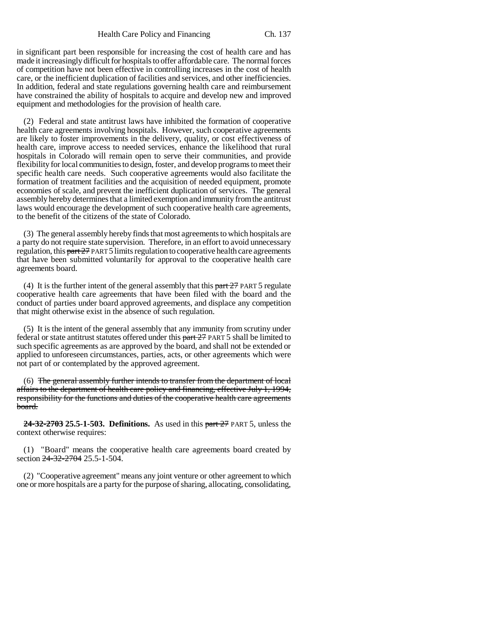in significant part been responsible for increasing the cost of health care and has made it increasingly difficult for hospitals to offer affordable care. The normal forces of competition have not been effective in controlling increases in the cost of health care, or the inefficient duplication of facilities and services, and other inefficiencies. In addition, federal and state regulations governing health care and reimbursement have constrained the ability of hospitals to acquire and develop new and improved equipment and methodologies for the provision of health care.

(2) Federal and state antitrust laws have inhibited the formation of cooperative health care agreements involving hospitals. However, such cooperative agreements are likely to foster improvements in the delivery, quality, or cost effectiveness of health care, improve access to needed services, enhance the likelihood that rural hospitals in Colorado will remain open to serve their communities, and provide flexibility for local communities to design, foster, and develop programs to meet their specific health care needs. Such cooperative agreements would also facilitate the formation of treatment facilities and the acquisition of needed equipment, promote economies of scale, and prevent the inefficient duplication of services. The general assembly hereby determines that a limited exemption and immunity from the antitrust laws would encourage the development of such cooperative health care agreements, to the benefit of the citizens of the state of Colorado.

(3) The general assembly hereby finds that most agreements to which hospitals are a party do not require state supervision. Therefore, in an effort to avoid unnecessary regulation, this part 27 PART 5 limits regulation to cooperative health care agreements that have been submitted voluntarily for approval to the cooperative health care agreements board.

(4) It is the further intent of the general assembly that this  $part 27$  PART 5 regulate cooperative health care agreements that have been filed with the board and the conduct of parties under board approved agreements, and displace any competition that might otherwise exist in the absence of such regulation.

(5) It is the intent of the general assembly that any immunity from scrutiny under federal or state antitrust statutes offered under this part 27 PART 5 shall be limited to such specific agreements as are approved by the board, and shall not be extended or applied to unforeseen circumstances, parties, acts, or other agreements which were not part of or contemplated by the approved agreement.

(6) The general assembly further intends to transfer from the department of local affairs to the department of health care policy and financing, effective July 1, 1994, responsibility for the functions and duties of the cooperative health care agreements board.

**24-32-2703 25.5-1-503. Definitions.** As used in this part 27 PART 5, unless the context otherwise requires:

(1) "Board" means the cooperative health care agreements board created by section 24-32-2704 25.5-1-504.

(2) "Cooperative agreement" means any joint venture or other agreement to which one or more hospitals are a party for the purpose of sharing, allocating, consolidating,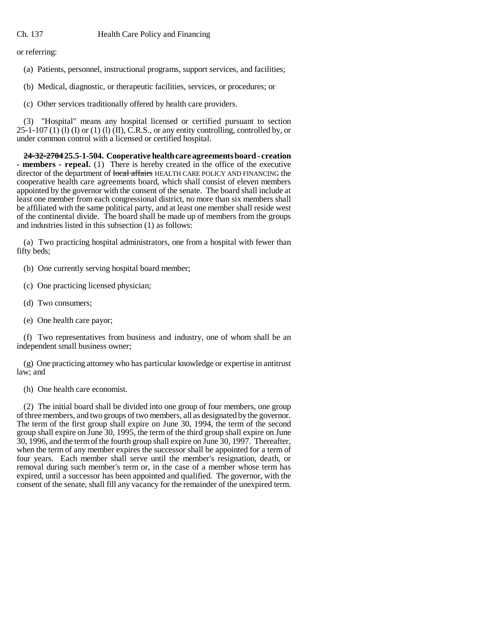or referring:

- (a) Patients, personnel, instructional programs, support services, and facilities;
- (b) Medical, diagnostic, or therapeutic facilities, services, or procedures; or
- (c) Other services traditionally offered by health care providers.

(3) "Hospital" means any hospital licensed or certified pursuant to section 25-1-107 (1) (I) (I) or (1) (I) (II), C.R.S., or any entity controlling, controlled by, or under common control with a licensed or certified hospital.

**24-32-2704 25.5-1-504. Cooperative health care agreements board - creation - members - repeal.** (1) There is hereby created in the office of the executive director of the department of local affairs HEALTH CARE POLICY AND FINANCING the cooperative health care agreements board, which shall consist of eleven members appointed by the governor with the consent of the senate. The board shall include at least one member from each congressional district, no more than six members shall be affiliated with the same political party, and at least one member shall reside west of the continental divide. The board shall be made up of members from the groups and industries listed in this subsection (1) as follows:

(a) Two practicing hospital administrators, one from a hospital with fewer than fifty beds;

(b) One currently serving hospital board member;

- (c) One practicing licensed physician;
- (d) Two consumers;
- (e) One health care payor;

(f) Two representatives from business and industry, one of whom shall be an independent small business owner;

(g) One practicing attorney who has particular knowledge or expertise in antitrust law; and

(h) One health care economist.

(2) The initial board shall be divided into one group of four members, one group of three members, and two groups of two members, all as designated by the governor. The term of the first group shall expire on June 30, 1994, the term of the second group shall expire on June 30, 1995, the term of the third group shall expire on June 30, 1996, and the term of the fourth group shall expire on June 30, 1997. Thereafter, when the term of any member expires the successor shall be appointed for a term of four years. Each member shall serve until the member's resignation, death, or removal during such member's term or, in the case of a member whose term has expired, until a successor has been appointed and qualified. The governor, with the consent of the senate, shall fill any vacancy for the remainder of the unexpired term.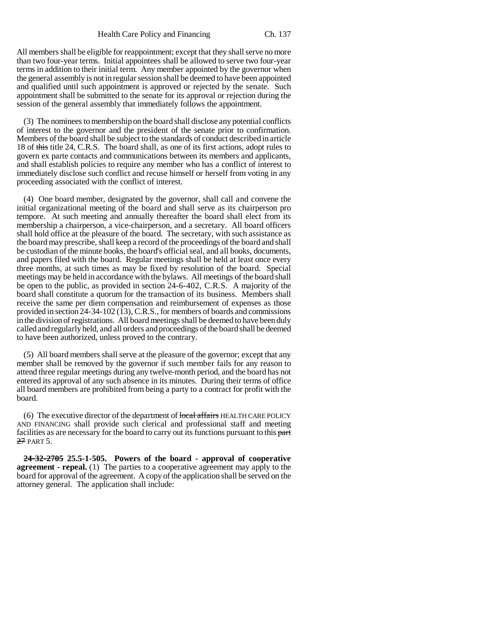All members shall be eligible for reappointment; except that they shall serve no more than two four-year terms. Initial appointees shall be allowed to serve two four-year terms in addition to their initial term. Any member appointed by the governor when the general assembly is not in regular session shall be deemed to have been appointed and qualified until such appointment is approved or rejected by the senate. Such appointment shall be submitted to the senate for its approval or rejection during the session of the general assembly that immediately follows the appointment.

(3) The nominees to membership on the board shall disclose any potential conflicts of interest to the governor and the president of the senate prior to confirmation. Members of the board shall be subject to the standards of conduct described in article 18 of this title 24, C.R.S. The board shall, as one of its first actions, adopt rules to govern ex parte contacts and communications between its members and applicants, and shall establish policies to require any member who has a conflict of interest to immediately disclose such conflict and recuse himself or herself from voting in any proceeding associated with the conflict of interest.

(4) One board member, designated by the governor, shall call and convene the initial organizational meeting of the board and shall serve as its chairperson pro tempore. At such meeting and annually thereafter the board shall elect from its membership a chairperson, a vice-chairperson, and a secretary. All board officers shall hold office at the pleasure of the board. The secretary, with such assistance as the board may prescribe, shall keep a record of the proceedings of the board and shall be custodian of the minute books, the board's official seal, and all books, documents, and papers filed with the board. Regular meetings shall be held at least once every three months, at such times as may be fixed by resolution of the board. Special meetings may be held in accordance with the bylaws. All meetings of the board shall be open to the public, as provided in section 24-6-402, C.R.S. A majority of the board shall constitute a quorum for the transaction of its business. Members shall receive the same per diem compensation and reimbursement of expenses as those provided in section 24-34-102  $(13)$ , C.R.S., for members of boards and commissions in the division of registrations. All board meetings shall be deemed to have been duly called and regularly held, and all orders and proceedings of the board shall be deemed to have been authorized, unless proved to the contrary.

(5) All board members shall serve at the pleasure of the governor; except that any member shall be removed by the governor if such member fails for any reason to attend three regular meetings during any twelve-month period, and the board has not entered its approval of any such absence in its minutes. During their terms of office all board members are prohibited from being a party to a contract for profit with the board.

(6) The executive director of the department of local affairs HEALTH CARE POLICY AND FINANCING shall provide such clerical and professional staff and meeting facilities as are necessary for the board to carry out its functions pursuant to this part 27 PART 5.

**24-32-2705 25.5-1-505. Powers of the board - approval of cooperative agreement - repeal.** (1) The parties to a cooperative agreement may apply to the board for approval of the agreement. A copy of the application shall be served on the attorney general. The application shall include: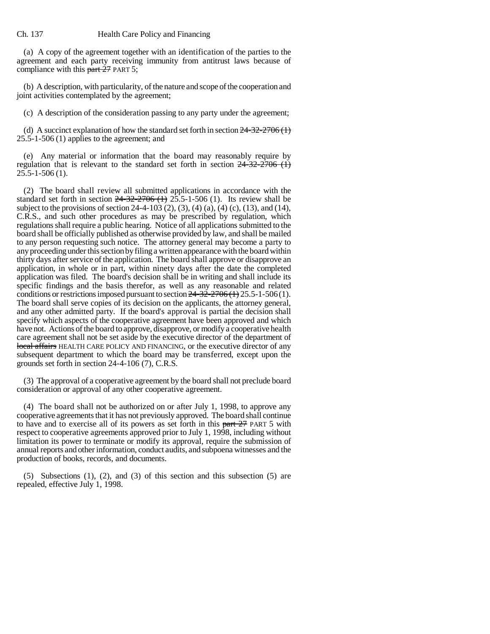#### Ch. 137 Health Care Policy and Financing

(a) A copy of the agreement together with an identification of the parties to the agreement and each party receiving immunity from antitrust laws because of compliance with this part 27 PART 5;

(b) A description, with particularity, of the nature and scope of the cooperation and joint activities contemplated by the agreement;

(c) A description of the consideration passing to any party under the agreement;

(d) A succinct explanation of how the standard set forth in section  $24-32-2706$  (1) 25.5-1-506 (1) applies to the agreement; and

(e) Any material or information that the board may reasonably require by regulation that is relevant to the standard set forth in section  $24-32-2706$  (1) 25.5-1-506 (1).

(2) The board shall review all submitted applications in accordance with the standard set forth in section  $24-32-2706$  (1)  $25.5-1-506$  (1). Its review shall be subject to the provisions of section 24-4-103 (2), (3), (4) (a), (4) (c), (13), and (14), C.R.S., and such other procedures as may be prescribed by regulation, which regulations shall require a public hearing. Notice of all applications submitted to the board shall be officially published as otherwise provided by law, and shall be mailed to any person requesting such notice. The attorney general may become a party to any proceeding under this section by filing a written appearance with the board within thirty days after service of the application. The board shall approve or disapprove an application, in whole or in part, within ninety days after the date the completed application was filed. The board's decision shall be in writing and shall include its specific findings and the basis therefor, as well as any reasonable and related conditions or restrictions imposed pursuant to section  $24-32-2706(1)$  25.5-1-506(1). The board shall serve copies of its decision on the applicants, the attorney general, and any other admitted party. If the board's approval is partial the decision shall specify which aspects of the cooperative agreement have been approved and which have not. Actions of the board to approve, disapprove, or modify a cooperative health care agreement shall not be set aside by the executive director of the department of local affairs HEALTH CARE POLICY AND FINANCING, or the executive director of any subsequent department to which the board may be transferred, except upon the grounds set forth in section 24-4-106 (7), C.R.S.

(3) The approval of a cooperative agreement by the board shall not preclude board consideration or approval of any other cooperative agreement.

(4) The board shall not be authorized on or after July 1, 1998, to approve any cooperative agreements that it has not previously approved. The board shall continue to have and to exercise all of its powers as set forth in this part 27 PART 5 with respect to cooperative agreements approved prior to July 1, 1998, including without limitation its power to terminate or modify its approval, require the submission of annual reports and other information, conduct audits, and subpoena witnesses and the production of books, records, and documents.

(5) Subsections (1), (2), and (3) of this section and this subsection (5) are repealed, effective July 1, 1998.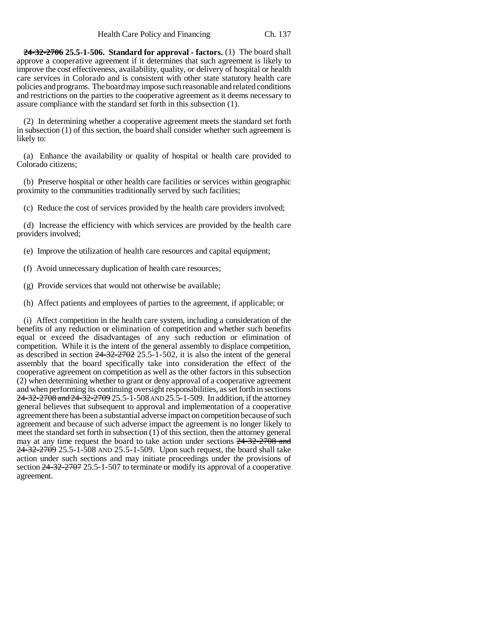**24-32-2706 25.5-1-506. Standard for approval - factors.** (1) The board shall approve a cooperative agreement if it determines that such agreement is likely to improve the cost effectiveness, availability, quality, or delivery of hospital or health care services in Colorado and is consistent with other state statutory health care policies and programs. The board may impose such reasonable and related conditions and restrictions on the parties to the cooperative agreement as it deems necessary to assure compliance with the standard set forth in this subsection (1).

(2) In determining whether a cooperative agreement meets the standard set forth in subsection (1) of this section, the board shall consider whether such agreement is likely to:

(a) Enhance the availability or quality of hospital or health care provided to Colorado citizens;

(b) Preserve hospital or other health care facilities or services within geographic proximity to the communities traditionally served by such facilities;

(c) Reduce the cost of services provided by the health care providers involved;

(d) Increase the efficiency with which services are provided by the health care providers involved;

(e) Improve the utilization of health care resources and capital equipment;

- (f) Avoid unnecessary duplication of health care resources;
- (g) Provide services that would not otherwise be available;
- (h) Affect patients and employees of parties to the agreement, if applicable; or

(i) Affect competition in the health care system, including a consideration of the benefits of any reduction or elimination of competition and whether such benefits equal or exceed the disadvantages of any such reduction or elimination of competition. While it is the intent of the general assembly to displace competition, as described in section 24-32-2702 25.5-1-502, it is also the intent of the general assembly that the board specifically take into consideration the effect of the cooperative agreement on competition as well as the other factors in this subsection (2) when determining whether to grant or deny approval of a cooperative agreement and when performing its continuing oversight responsibilities, as set forth in sections 24-32-2708 and 24-32-2709 25.5-1-508 AND 25.5-1-509. In addition, if the attorney general believes that subsequent to approval and implementation of a cooperative agreement there has been a substantial adverse impact on competition because of such agreement and because of such adverse impact the agreement is no longer likely to meet the standard set forth in subsection (1) of this section, then the attorney general may at any time request the board to take action under sections  $24-32-2708$  and 24-32-2709 25.5-1-508 AND 25.5-1-509. Upon such request, the board shall take action under such sections and may initiate proceedings under the provisions of section 24-32-2707 25.5-1-507 to terminate or modify its approval of a cooperative agreement.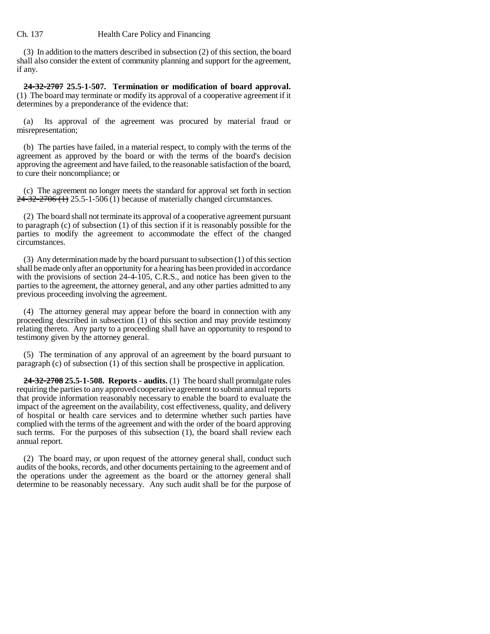#### Ch. 137 Health Care Policy and Financing

(3) In addition to the matters described in subsection (2) of this section, the board shall also consider the extent of community planning and support for the agreement, if any.

**24-32-2707 25.5-1-507. Termination or modification of board approval.** (1) The board may terminate or modify its approval of a cooperative agreement if it determines by a preponderance of the evidence that:

(a) Its approval of the agreement was procured by material fraud or misrepresentation;

(b) The parties have failed, in a material respect, to comply with the terms of the agreement as approved by the board or with the terms of the board's decision approving the agreement and have failed, to the reasonable satisfaction of the board, to cure their noncompliance; or

(c) The agreement no longer meets the standard for approval set forth in section  $24-32-2706$  (1) 25.5-1-506 (1) because of materially changed circumstances.

(2) The board shall not terminate its approval of a cooperative agreement pursuant to paragraph (c) of subsection (1) of this section if it is reasonably possible for the parties to modify the agreement to accommodate the effect of the changed circumstances.

(3) Any determination made by the board pursuant to subsection (1) of this section shall be made only after an opportunity for a hearing has been provided in accordance with the provisions of section 24-4-105, C.R.S., and notice has been given to the parties to the agreement, the attorney general, and any other parties admitted to any previous proceeding involving the agreement.

(4) The attorney general may appear before the board in connection with any proceeding described in subsection (1) of this section and may provide testimony relating thereto. Any party to a proceeding shall have an opportunity to respond to testimony given by the attorney general.

(5) The termination of any approval of an agreement by the board pursuant to paragraph (c) of subsection (1) of this section shall be prospective in application.

**24-32-2708 25.5-1-508. Reports - audits.** (1) The board shall promulgate rules requiring the parties to any approved cooperative agreement to submit annual reports that provide information reasonably necessary to enable the board to evaluate the impact of the agreement on the availability, cost effectiveness, quality, and delivery of hospital or health care services and to determine whether such parties have complied with the terms of the agreement and with the order of the board approving such terms. For the purposes of this subsection (1), the board shall review each annual report.

(2) The board may, or upon request of the attorney general shall, conduct such audits of the books, records, and other documents pertaining to the agreement and of the operations under the agreement as the board or the attorney general shall determine to be reasonably necessary. Any such audit shall be for the purpose of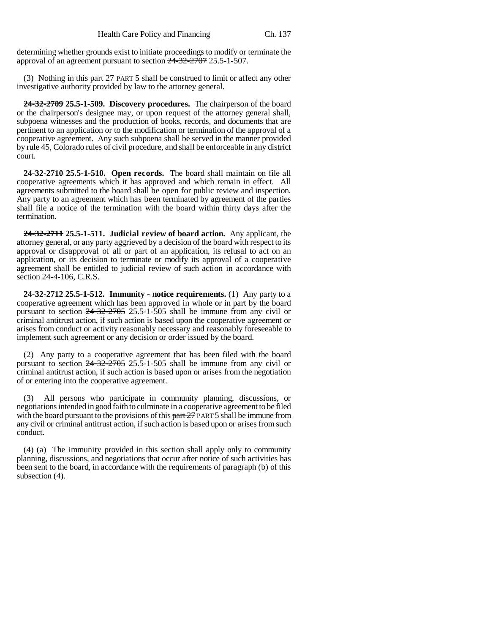determining whether grounds exist to initiate proceedings to modify or terminate the approval of an agreement pursuant to section 24-32-2707 25.5-1-507.

(3) Nothing in this part  $27$  PART 5 shall be construed to limit or affect any other investigative authority provided by law to the attorney general.

**24-32-2709 25.5-1-509. Discovery procedures.** The chairperson of the board or the chairperson's designee may, or upon request of the attorney general shall, subpoena witnesses and the production of books, records, and documents that are pertinent to an application or to the modification or termination of the approval of a cooperative agreement. Any such subpoena shall be served in the manner provided by rule 45, Colorado rules of civil procedure, and shall be enforceable in any district court.

**24-32-2710 25.5-1-510. Open records.** The board shall maintain on file all cooperative agreements which it has approved and which remain in effect. All agreements submitted to the board shall be open for public review and inspection. Any party to an agreement which has been terminated by agreement of the parties shall file a notice of the termination with the board within thirty days after the termination.

**24-32-2711 25.5-1-511. Judicial review of board action.** Any applicant, the attorney general, or any party aggrieved by a decision of the board with respect to its approval or disapproval of all or part of an application, its refusal to act on an application, or its decision to terminate or modify its approval of a cooperative agreement shall be entitled to judicial review of such action in accordance with section 24-4-106, C.R.S.

**24-32-2712 25.5-1-512. Immunity - notice requirements.** (1) Any party to a cooperative agreement which has been approved in whole or in part by the board pursuant to section 24-32-2705 25.5-1-505 shall be immune from any civil or criminal antitrust action, if such action is based upon the cooperative agreement or arises from conduct or activity reasonably necessary and reasonably foreseeable to implement such agreement or any decision or order issued by the board.

(2) Any party to a cooperative agreement that has been filed with the board pursuant to section 24-32-2705 25.5-1-505 shall be immune from any civil or criminal antitrust action, if such action is based upon or arises from the negotiation of or entering into the cooperative agreement.

(3) All persons who participate in community planning, discussions, or negotiations intended in good faith to culminate in a cooperative agreement to be filed with the board pursuant to the provisions of this part 27 PART 5 shall be immune from any civil or criminal antitrust action, if such action is based upon or arises from such conduct.

(4) (a) The immunity provided in this section shall apply only to community planning, discussions, and negotiations that occur after notice of such activities has been sent to the board, in accordance with the requirements of paragraph (b) of this subsection (4).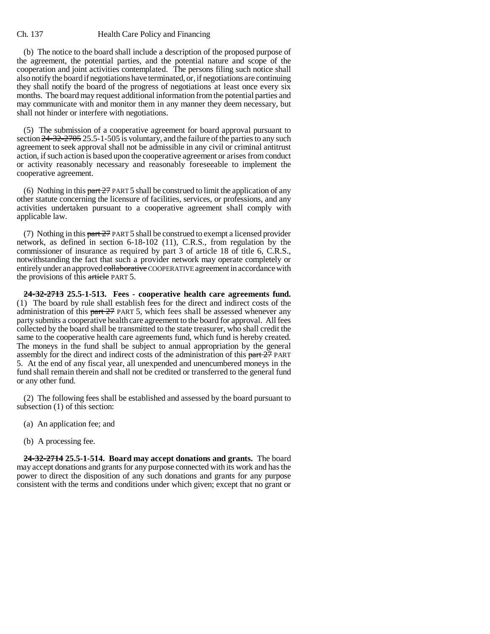#### Ch. 137 Health Care Policy and Financing

(b) The notice to the board shall include a description of the proposed purpose of the agreement, the potential parties, and the potential nature and scope of the cooperation and joint activities contemplated. The persons filing such notice shall also notify the board if negotiations have terminated, or, if negotiations are continuing they shall notify the board of the progress of negotiations at least once every six months. The board may request additional information from the potential parties and may communicate with and monitor them in any manner they deem necessary, but shall not hinder or interfere with negotiations.

(5) The submission of a cooperative agreement for board approval pursuant to section  $24-32-2705$  25.5-1-505 is voluntary, and the failure of the parties to any such agreement to seek approval shall not be admissible in any civil or criminal antitrust action, if such action is based upon the cooperative agreement or arises from conduct or activity reasonably necessary and reasonably foreseeable to implement the cooperative agreement.

(6) Nothing in this part  $27$  PART 5 shall be construed to limit the application of any other statute concerning the licensure of facilities, services, or professions, and any activities undertaken pursuant to a cooperative agreement shall comply with applicable law.

(7) Nothing in this part  $27$  PART 5 shall be construed to exempt a licensed provider network, as defined in section 6-18-102 (11), C.R.S., from regulation by the commissioner of insurance as required by part 3 of article 18 of title 6, C.R.S., notwithstanding the fact that such a provider network may operate completely or entirely under an approved collaborative COOPERATIVE agreement in accordance with the provisions of this article PART 5.

**24-32-2713 25.5-1-513. Fees - cooperative health care agreements fund.** (1) The board by rule shall establish fees for the direct and indirect costs of the administration of this part 27 PART 5, which fees shall be assessed whenever any party submits a cooperative health care agreement to the board for approval. All fees collected by the board shall be transmitted to the state treasurer, who shall credit the same to the cooperative health care agreements fund, which fund is hereby created. The moneys in the fund shall be subject to annual appropriation by the general assembly for the direct and indirect costs of the administration of this part 27 PART 5. At the end of any fiscal year, all unexpended and unencumbered moneys in the fund shall remain therein and shall not be credited or transferred to the general fund or any other fund.

(2) The following fees shall be established and assessed by the board pursuant to subsection (1) of this section:

- (a) An application fee; and
- (b) A processing fee.

**24-32-2714 25.5-1-514. Board may accept donations and grants.** The board may accept donations and grants for any purpose connected with its work and has the power to direct the disposition of any such donations and grants for any purpose consistent with the terms and conditions under which given; except that no grant or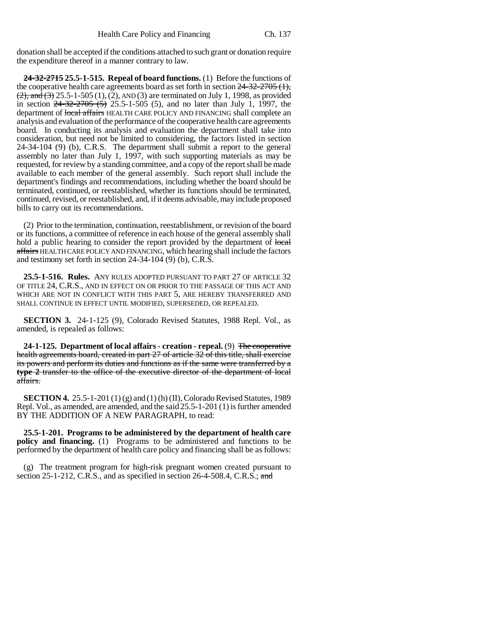donation shall be accepted if the conditions attached to such grant or donation require the expenditure thereof in a manner contrary to law.

**24-32-2715 25.5-1-515. Repeal of board functions.** (1) Before the functions of the cooperative health care agreements board as set forth in section  $24-32-2705$  (1),  $(2)$ , and  $(3)$  25.5-1-505 (1), (2), AND (3) are terminated on July 1, 1998, as provided in section  $24-32-2705$  (5) 25.5-1-505 (5), and no later than July 1, 1997, the department of local affairs HEALTH CARE POLICY AND FINANCING shall complete an analysis and evaluation of the performance of the cooperative health care agreements board. In conducting its analysis and evaluation the department shall take into consideration, but need not be limited to considering, the factors listed in section 24-34-104 (9) (b), C.R.S. The department shall submit a report to the general assembly no later than July 1, 1997, with such supporting materials as may be requested, for review by a standing committee, and a copy of the report shall be made available to each member of the general assembly. Such report shall include the department's findings and recommendations, including whether the board should be terminated, continued, or reestablished, whether its functions should be terminated, continued, revised, or reestablished, and, if it deems advisable, may include proposed bills to carry out its recommendations.

(2) Prior to the termination, continuation, reestablishment, or revision of the board or its functions, a committee of reference in each house of the general assembly shall hold a public hearing to consider the report provided by the department of local affairs HEALTH CARE POLICY AND FINANCING, which hearing shall include the factors and testimony set forth in section 24-34-104 (9) (b), C.R.S.

**25.5-1-516. Rules.** ANY RULES ADOPTED PURSUANT TO PART 27 OF ARTICLE 32 OF TITLE 24, C.R.S., AND IN EFFECT ON OR PRIOR TO THE PASSAGE OF THIS ACT AND WHICH ARE NOT IN CONFLICT WITH THIS PART 5, ARE HEREBY TRANSFERRED AND SHALL CONTINUE IN EFFECT UNTIL MODIFIED, SUPERSEDED, OR REPEALED.

**SECTION 3.** 24-1-125 (9), Colorado Revised Statutes, 1988 Repl. Vol., as amended, is repealed as follows:

**24-1-125. Department of local affairs - creation - repeal.** (9) The cooperative health agreements board, created in part 27 of article 32 of this title, shall exercise its powers and perform its duties and functions as if the same were transferred by a **type 2** transfer to the office of the executive director of the department of local affairs.

**SECTION 4.** 25.5-1-201 (1) (g) and (1) (h) (II), Colorado Revised Statutes, 1989 Repl. Vol., as amended, are amended, and the said 25.5-1-201 (1) is further amended BY THE ADDITION OF A NEW PARAGRAPH, to read:

**25.5-1-201. Programs to be administered by the department of health care policy and financing.** (1) Programs to be administered and functions to be performed by the department of health care policy and financing shall be as follows:

(g) The treatment program for high-risk pregnant women created pursuant to section 25-1-212, C.R.S., and as specified in section 26-4-508.4, C.R.S.; and